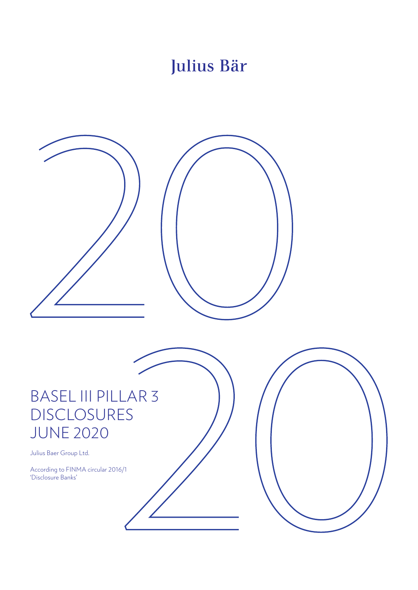# Julius Bär

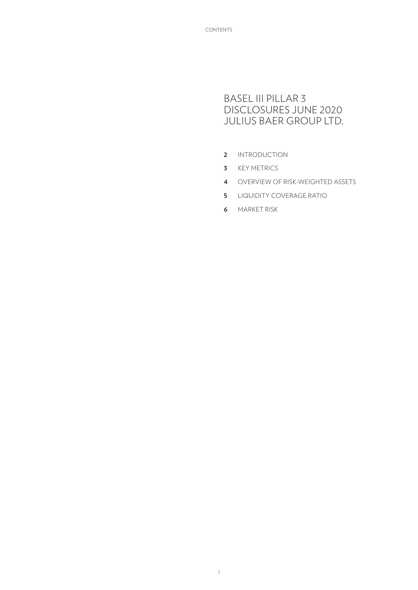## BASEL III PILLAR 3 DISCLOSURES JUNE 2020 JULIUS BAER GROUP LTD.

- **2** INTRODUCTION
- **3** KEY METRICS
- **4** OVERVIEW OF RISK-WEIGHTED ASSETS
- **5** LIQUIDITY COVERAGE RATIO
- **6** MARKET RISK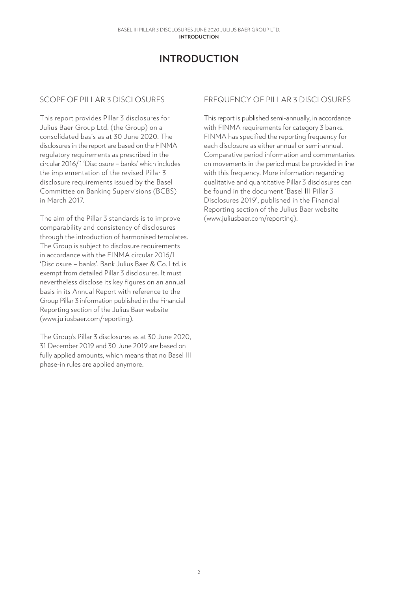# **INTRODUCTION**

### SCOPE OF PILLAR 3 DISCLOSURES

This report provides Pillar 3 disclosures for Julius Baer Group Ltd. (the Group) on a consolidated basis as at 30 June 2020. The disclosures in the report are based on the FINMA regulatory requirements as prescribed in the circular 2016/ 1 'Disclosure – banks' which includes the implementation of the revised Pillar 3 disclosure requirements issued by the Basel Committee on Banking Supervisions (BCBS) in March 2017.

The aim of the Pillar 3 standards is to improve comparability and consistency of disclosures through the introduction of harmonised templates. The Group is subject to disclosure requirements in accordance with the FINMA circular 2016/1 'Disclosure – banks'. Bank Julius Baer & Co. Ltd. is exempt from detailed Pillar 3 disclosures. It must nevertheless disclose its key figures on an annual basis in its Annual Report with reference to the Group Pillar 3 information published in the Financial Reporting section of the Julius Baer website (www.juliusbaer.com/reporting).

The Group's Pillar 3 disclosures as at 30 June 2020, 31 December 2019 and 30 June 2019 are based on fully applied amounts, which means that no Basel III phase-in rules are applied anymore.

### FREQUENCY OF PILLAR 3 DISCLOSURES

This report is published semi-annually, in accordance with FINMA requirements for category 3 banks. FINMA has specified the reporting frequency for each disclosure as either annual or semi-annual. Comparative period information and commentaries on movements in the period must be provided in line with this frequency. More information regarding qualitative and quantitative Pillar 3 disclosures can be found in the document 'Basel III Pillar 3 Disclosures 2019', published in the Financial Reporting section of the Julius Baer website (www.juliusbaer.com/reporting).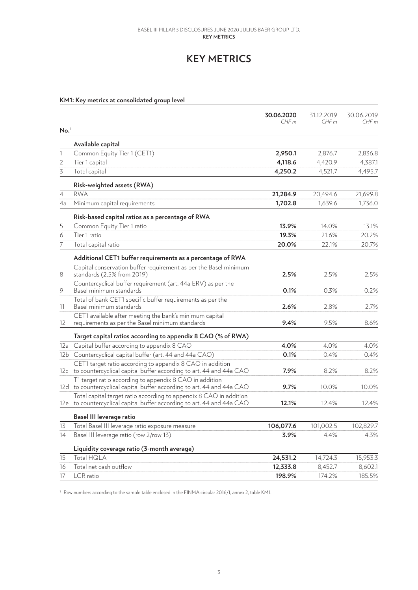#### **Key metrics** Basel III Pillar 3 Disclosures June 2020 JULIUS BAER GROUP LTD.

# **KEY METRICS**

### **KM1: Key metrics at consolidated group level**

|                  |                                                                                                                                              | 30.06.2020<br>CHFm | 31.12.2019<br>CHFm | 30.06.2019<br>CHFm |
|------------------|----------------------------------------------------------------------------------------------------------------------------------------------|--------------------|--------------------|--------------------|
| No. <sup>1</sup> |                                                                                                                                              |                    |                    |                    |
|                  | Available capital                                                                                                                            |                    |                    |                    |
| $\mathbb{1}$     | Common Equity Tier 1 (CET1)                                                                                                                  | 2,950.1            | 2,876.7            | 2,836.8            |
| 2                | Tier 1 capital                                                                                                                               | 4,118.6            | 4,420.9            | 4,387.1            |
| 3                | Total capital                                                                                                                                | 4,250.2            | 4,521.7            | 4,495.7            |
|                  | Risk-weighted assets (RWA)                                                                                                                   |                    |                    |                    |
| $\overline{4}$   | <b>RWA</b>                                                                                                                                   | 21,284.9           | 20,494.6           | 21,699.8           |
| 4a               | Minimum capital requirements                                                                                                                 | 1,702.8            | 1,639.6            | 1,736.0            |
|                  | Risk-based capital ratios as a percentage of RWA                                                                                             |                    |                    |                    |
| 5                | Common Equity Tier 1 ratio                                                                                                                   | 13.9%              | 14.0%              | 13.1%              |
| 6                | Tier 1 ratio                                                                                                                                 | 19.3%              | 21.6%              | 20.2%              |
| 7                | Total capital ratio                                                                                                                          | 20.0%              | 22.1%              | 20.7%              |
|                  | Additional CET1 buffer requirements as a percentage of RWA                                                                                   |                    |                    |                    |
| 8                | Capital conservation buffer requirement as per the Basel minimum<br>standards (2.5% from 2019)                                               | 2.5%               | 2.5%               | 2.5%               |
| 9                | Countercyclical buffer requirement (art. 44a ERV) as per the<br>Basel minimum standards                                                      | 0.1%               | 0.3%               | 0.2%               |
| 11               | Total of bank CET1 specific buffer requirements as per the<br>Basel minimum standards                                                        | 2.6%               | 2.8%               | 2.7%               |
| 12               | CET1 available after meeting the bank's minimum capital<br>requirements as per the Basel minimum standards                                   | 9.4%               | 9.5%               | 8.6%               |
|                  | Target capital ratios according to appendix 8 CAO (% of RWA)                                                                                 |                    |                    |                    |
|                  | 12a Capital buffer according to appendix 8 CAO                                                                                               | 4.0%               | 4.0%               | 4.0%               |
|                  | 12b Countercyclical capital buffer (art. 44 and 44a CAO)                                                                                     | 0.1%               | 0.4%               | 0.4%               |
|                  | CET1 target ratio according to appendix 8 CAO in addition<br>12c to countercyclical capital buffer according to art. 44 and 44a CAO          | 7.9%               | 8.2%               | 8.2%               |
|                  | T1 target ratio according to appendix 8 CAO in addition<br>12d to countercyclical capital buffer according to art. 44 and 44a CAO            | 9.7%               | 10.0%              | 10.0%              |
|                  | Total capital target ratio according to appendix 8 CAO in addition<br>12e to countercyclical capital buffer according to art. 44 and 44a CAO | 12.1%              | 12.4%              | 12.4%              |
|                  | Basel III leverage ratio                                                                                                                     |                    |                    |                    |
| 13               | Total Basel III leverage ratio exposure measure                                                                                              | 106,077.6          | 101,002.5          | 102,829.7          |
| 14               | Basel III leverage ratio (row 2/row 13)                                                                                                      | 3.9%               | 4.4%               | 4.3%               |
|                  | Liquidity coverage ratio (3-month average)                                                                                                   |                    |                    |                    |
| 15               | Total HQLA                                                                                                                                   | 24,531.2           | 14,724.3           | 15,953.3           |
| 16               | Total net cash outflow                                                                                                                       | 12,333.8           | 8,452.7            | 8,602.1            |
| 17               | LCR ratio                                                                                                                                    | 198.9%             | 174.2%             | 185.5%             |

<sup>1</sup> Row numbers according to the sample table enclosed in the FINMA circular 2016/1, annex 2, table KM1.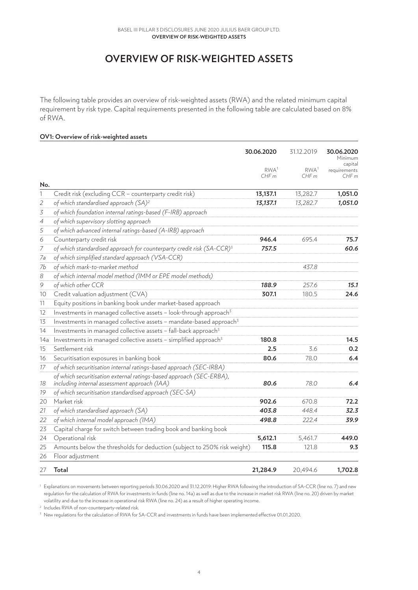# **OVERVIEW OF RISK-WEIGHTED ASSETS**

The following table provides an overview of risk-weighted assets (RWA) and the related minimum capital requirement by risk type. Capital requirements presented in the following table are calculated based on 8% of RWA.

#### **OV1: Overview of risk-weighted assets**

|                   |                                                                                   | 30.06.2020               | 31.12.2019               | 30.06.2020<br>Minimum<br>capital |
|-------------------|-----------------------------------------------------------------------------------|--------------------------|--------------------------|----------------------------------|
|                   |                                                                                   | RWA <sup>1</sup><br>CHFm | RWA <sup>1</sup><br>CHFm | requirements<br>CHFm             |
| No.               |                                                                                   |                          |                          |                                  |
| 1                 | Credit risk (excluding CCR - counterparty credit risk)                            | 13,137.1                 | 13,282.7                 | 1,051.0                          |
| $\mathfrak{2}$    | of which standardised approach (SA) <sup>2</sup>                                  | 13,137.1                 | 13,282.7                 | 1,051.0                          |
| 3                 | of which foundation internal ratings-based (F-IRB) approach                       |                          |                          |                                  |
| $\overline{4}$    | of which supervisory slotting approach                                            |                          |                          |                                  |
| 5                 | of which advanced internal ratings-based (A-IRB) approach                         |                          |                          |                                  |
| 6                 | Counterparty credit risk                                                          | 946.4                    | 695.4                    | 75.7                             |
| $\boldsymbol{7}$  | of which standardised approach for counterparty credit risk (SA-CCR) <sup>3</sup> | 757.5                    |                          | 60.6                             |
| 7a                | of which simplified standard approach (VSA-CCR)                                   |                          |                          |                                  |
| 7b                | of which mark-to-market method                                                    |                          | 437.8                    |                                  |
| 8                 | of which internal model method (IMM or EPE model methods)                         |                          |                          |                                  |
| 9                 | of which other CCR                                                                | 188.9                    | 257.6                    | 15.1                             |
| 10                | Credit valuation adjustment (CVA)                                                 | 307.1                    | 180.5                    | 24.6                             |
| 11                | Equity positions in banking book under market-based approach                      |                          |                          |                                  |
| $12 \overline{ }$ | Investments in managed collective assets - look-through approach <sup>3</sup>     |                          |                          |                                  |
| 13                | Investments in managed collective assets - mandate-based approach <sup>3</sup>    |                          |                          |                                  |
| 14                | Investments in managed collective assets - fall-back approach <sup>3</sup>        |                          |                          |                                  |
| 14a               | Investments in managed collective assets - simplified approach <sup>3</sup>       | 180.8                    |                          | 14.5                             |
| 15                | Settlement risk                                                                   | 2.5                      | 3.6                      | 0.2                              |
| 16                | Securitisation exposures in banking book                                          | 80.6                     | 78.0                     | 6.4                              |
| 17                | of which securitisation internal ratings-based approach (SEC-IRBA)                |                          |                          |                                  |
|                   | of which securitisation external ratings-based approach (SEC-ERBA),               |                          |                          |                                  |
| 18                | including internal assessment approach (IAA)                                      | 80.6                     | 78.0                     | 6.4                              |
| 19                | of which securitisation standardised approach (SEC-SA)                            |                          |                          |                                  |
| 20                | Market risk                                                                       | 902.6                    | 670.8                    | 72.2                             |
| 21                | of which standardised approach (SA)                                               | 403.8                    | 448.4                    | 32.3                             |
| 22                | of which internal model approach (IMA)                                            | 498.8                    | 222.4                    | 39.9                             |
| 23                | Capital charge for switch between trading book and banking book                   |                          |                          |                                  |
| 24                | Operational risk                                                                  | 5,612.1                  | 5,461.7                  | 449.0                            |
| 25                | Amounts below the thresholds for deduction (subject to 250% risk weight)          | 115.8                    | 121.8                    | 9.3                              |
| 26                | Floor adjustment                                                                  |                          |                          |                                  |
| 27                | Total                                                                             | 21,284.9                 | 20,494.6                 | 1,702.8                          |

<sup>1</sup> Explanations on movements between reporting periods 30.06.2020 and 31.12.2019: Higher RWA following the introduction of SA-CCR (line no. 7) and new regulation for the calculation of RWA for investments in funds (line no. 14a) as well as due to the increase in market risk RWA (line no. 20) driven by market volatility and due to the increase in operational risk RWA (line no. 24) as a result of higher operating income.

<sup>2</sup> Includes RWA of non-counterparty-related risk.

<sup>3</sup> New regulations for the calculation of RWA for SA-CCR and investments in funds have been implemented effective 01.01.2020.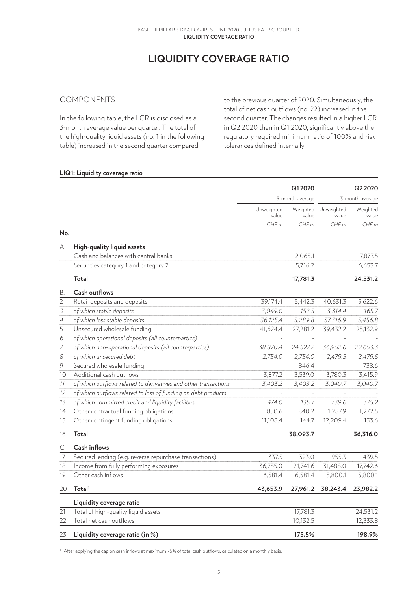# **LIQUIDITY COVERAGE RATIO**

### COMPONENTS

In the following table, the LCR is disclosed as a 3-month average value per quarter. The total of the high-quality liquid assets (no. 1 in the following table) increased in the second quarter compared

to the previous quarter of 2020. Simultaneously, the total of net cash outflows (no. 22) increased in the second quarter. The changes resulted in a higher LCR in Q2 2020 than in Q1 2020, significantly above the regulatory required minimum ratio of 100% and risk tolerances defined internally.

#### **LIQ1: Liquidity coverage ratio**

|                |                                                                 |                     | Q12020    |                              | Q2 2020           |
|----------------|-----------------------------------------------------------------|---------------------|-----------|------------------------------|-------------------|
|                |                                                                 | 3-month average     |           | 3-month average              |                   |
|                |                                                                 | Unweighted<br>value | value     | Weighted Unweighted<br>value | Weighted<br>value |
|                |                                                                 | CHFm                | CHFm      | CHFm                         | CHF <sub>m</sub>  |
| No.            |                                                                 |                     |           |                              |                   |
| А.             | High-quality liquid assets                                      |                     |           |                              |                   |
|                | Cash and balances with central banks                            |                     | 12,065.1  |                              | 17,877.5          |
|                | Securities category 1 and category 2                            |                     | 5,716.2   |                              | 6,653.7           |
| 1              | <b>Total</b>                                                    |                     | 17,781.3  |                              | 24,531.2          |
| В.             | Cash outflows                                                   |                     |           |                              |                   |
| $\overline{2}$ | Retail deposits and deposits                                    | 39,174.4            | 5,442.3   | 40,631.3                     | 5,622.6           |
| 3              | of which stable deposits                                        | 3,049.0             | 152.5     | 3,314.4                      | 165.7             |
| 4              | of which less stable deposits                                   | 36,125.4            | 5,289.8   | 37,316.9                     | 5,456.8           |
| 5              | Unsecured wholesale funding                                     | 41,624.4            | 27,281.2  | 39,432.2                     | 25,132.9          |
| 6              | of which operational deposits (all counterparties)              |                     |           |                              |                   |
| $\overline{7}$ | of which non-operational deposits (all counterparties)          | 38,870.4            | 24,527.2  | 36,952.6                     | 22,653.3          |
| 8              | of which unsecured debt                                         | 2,754.0             | 2,754.0   | 2,479.5                      | 2,479.5           |
| 9              | Secured wholesale funding                                       |                     | 846.4     |                              | 738.6             |
| 10             | Additional cash outflows                                        | 3,877.2             | 3,539.0   | 3,780.3                      | 3,415.9           |
| 11             | of which outflows related to derivatives and other transactions | 3,403.2             | 3,403.2   | 3,040.7                      | 3,040.7           |
| 12             | of which outflows related to loss of funding on debt products   | $\overline{a}$      | $\bar{a}$ | $\sim$                       |                   |
| 13             | of which committed credit and liquidity facilities              | 474.0               | 135.7     | 739.6                        | 375.2             |
| 14             | Other contractual funding obligations                           | 850.6               | 840.2     | 1,287.9                      | 1,272.5           |
| 15             | Other contingent funding obligations                            | 11,108.4            | 144.7     | 12,209.4                     | 133.6             |
| 16             | <b>Total</b>                                                    |                     | 38,093.7  |                              | 36,316.0          |
| C.             | Cash inflows                                                    |                     |           |                              |                   |
| 17             | Secured lending (e.g. reverse repurchase transactions)          | 337.5               | 323.0     | 955.3                        | 439.5             |
| 18             | Income from fully performing exposures                          | 36,735.0            | 21,741.6  | 31,488.0                     | 17,742.6          |
| 19             | Other cash inflows                                              | 6,581.4             | 6,581.4   | 5,800.1                      | 5,800.1           |
| 20             | <b>Total</b>                                                    | 43,653.9            | 27,961.2  | 38,243.4                     | 23,982.2          |
|                | Liquidity coverage ratio                                        |                     |           |                              |                   |
| 21             | Total of high-quality liquid assets                             |                     | 17,781.3  |                              | 24,531.2          |
| 22             | Total net cash outflows                                         |                     | 10,132.5  |                              | 12,333.8          |
| 23             | Liquidity coverage ratio (in %)                                 |                     | 175.5%    |                              | 198.9%            |

<sup>1</sup> After applying the cap on cash inflows at maximum 75% of total cash outflows, calculated on a monthly basis.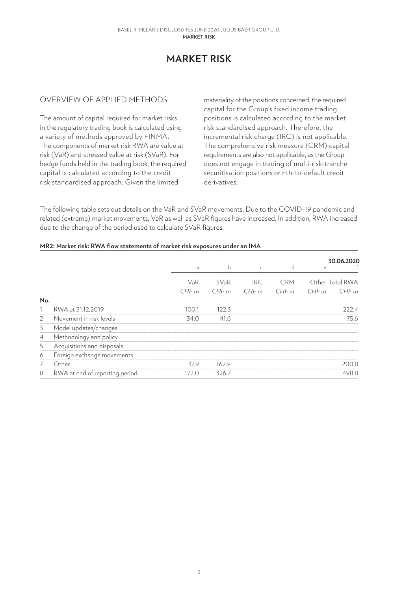# **MARKET RISK**

### OVERVIEW OF APPLIED METHODS

The amount of capital required for market risks in the regulatory trading book is calculated using a variety of methods approved by FINMA. The components of market risk RWA are value at risk (VaR) and stressed value at risk (SVaR). For hedge funds held in the trading book, the required capital is calculated according to the credit risk standardised approach. Given the limited

materiality of the positions concerned, the required capital for the Group's fixed income trading positions is calculated according to the market risk standardised approach. Therefore, the incremental risk charge (IRC) is not applicable. The comprehensive risk measure (CRM) capital requirements are also not applicable, as the Group does not engage in trading of multi-risk-tranche securitisation positions or nth-to-default credit derivatives.

The following table sets out details on the VaR and SVaR movements. Due to the COVID-19 pandemic and related (extreme) market movements, VaR as well as SVaR figures have increased. In addition, RWA increased due to the change of the period used to calculate SVaR figures.

#### **MR2: Market risk: RWA flow statements of market risk exposures under an IMA**

|                |                                | a           | b            | $\mathsf{C}$       | d                  | 30.06.2020<br>e                 |
|----------------|--------------------------------|-------------|--------------|--------------------|--------------------|---------------------------------|
|                |                                | VaR<br>CHFm | SVaR<br>CHFm | <b>IRC</b><br>CHFm | <b>CRM</b><br>CHFm | Other Total RWA<br>CHFm<br>CHFm |
| No.            |                                |             |              |                    |                    |                                 |
|                | RWA at 31.12.2019              | 100.1       | 122.3        |                    |                    | 222.4                           |
| $\overline{2}$ | Movement in risk levels        | 34.0        | 41.6         |                    |                    | 75.6                            |
| 3              | Model updates/changes          |             |              |                    |                    |                                 |
| $\overline{4}$ | Methodology and policy         |             |              |                    |                    |                                 |
| 5              | Acquisitions and disposals     |             |              |                    |                    |                                 |
| 6              | Foreign exchange movements     |             |              |                    |                    |                                 |
| 7              | Other                          | 37.9        | 162.9        |                    |                    | 200.8                           |
| 8              | RWA at end of reporting period | 172.0       | 326.7        |                    |                    | 498.8                           |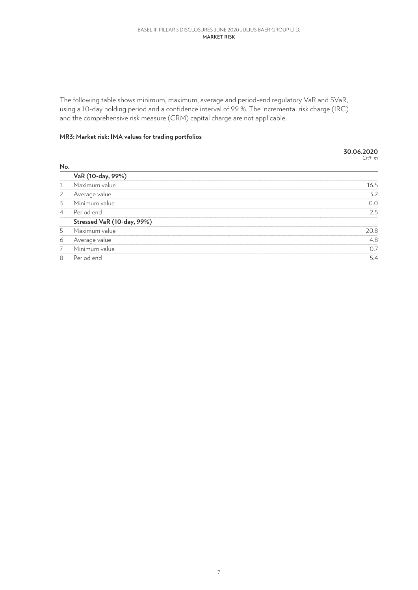#### **MarkEt Risk** Basel III Pillar 3 Disclosures June 2020 JULIUS BAER GROUP LTD.

The following table shows minimum, maximum, average and period-end regulatory VaR and SVaR, using a 10-day holding period and a confidence interval of 99 %. The incremental risk charge (IRC) and the comprehensive risk measure (CRM) capital charge are not applicable.

### **MR3: Market risk: IMA values for trading portfolios**

|                |                            | 30.06.2020<br>CHFm |
|----------------|----------------------------|--------------------|
| No.            |                            |                    |
|                | VaR (10-day, 99%)          |                    |
|                | Maximum value              | 16.5               |
| 2              | Average value              | 3.2                |
| 3              | Minimum value              | 0.0                |
| $\overline{4}$ | Period end                 | 2.5                |
|                | Stressed VaR (10-day, 99%) |                    |
| 5              | Maximum value              | 20.8               |
| 6              | Average value              | 4.8                |
| 7              | Minimum value              | 0.7                |
| 8              | Period end                 | 5.4                |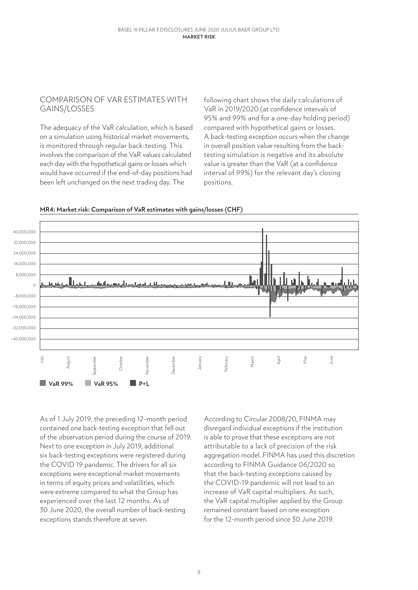### COMPARISON OF VAR ESTIMATES WITH GAINS/LOSSES

The adequacy of the VaR calculation, which is based on a simulation using historical market movements, is monitored through regular back-testing. This involves the comparison of the VaR values calculated each day with the hypothetical gains or losses which would have occurred if the end-of-day positions had been left unchanged on the next trading day. The

following chart shows the daily calculations of VaR in 2019/2020 (at confidence intervals of 95% and 99% and for a one-day holding period) compared with hypothetical gains or losses. A back-testing exception occurs when the change in overall position value resulting from the backtesting simulation is negative and its absolute value is greater than the VaR (at a confidence interval of 99%) for the relevant day's closing positions.



**MR4: Market risk: Comparison of VaR estimates with gains/losses (CHF)**

As of 1 July 2019, the preceding 12-month period contained one back-testing exception that fell out of the observation period during the course of 2019. Next to one exception in July 2019, additional six back-testing exceptions were registered during the COVID 19 pandemic. The drivers for all six exceptions were exceptional market movements in terms of equity prices and volatilities, which were extreme compared to what the Group has experienced over the last 12 months. As of 30 June 2020, the overall number of back-testing exceptions stands therefore at seven.

According to Circular 2008/20, FINMA may disregard individual exceptions if the institution is able to prove that these exceptions are not attributable to a lack of precision of the risk aggregation model. FINMA has used this discretion according to FINMA Guidance 06/2020 so that the back-testing exceptions caused by the COVID-19 pandemic will not lead to an increase of VaR capital multipliers. As such, the VaR capital multiplier applied by the Group remained constant based on one exception for the 12-month period since 30 June 2019.